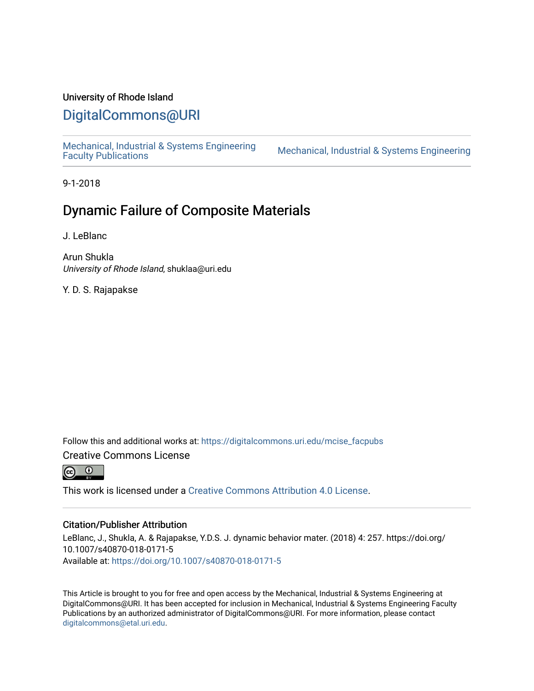#### University of Rhode Island

### [DigitalCommons@URI](https://digitalcommons.uri.edu/)

[Mechanical, Industrial & Systems Engineering](https://digitalcommons.uri.edu/mcise_facpubs) 

Mechanical, Industrial & Systems Engineering

9-1-2018

# Dynamic Failure of Composite Materials

J. LeBlanc

Arun Shukla University of Rhode Island, shuklaa@uri.edu

Y. D. S. Rajapakse

Follow this and additional works at: [https://digitalcommons.uri.edu/mcise\\_facpubs](https://digitalcommons.uri.edu/mcise_facpubs?utm_source=digitalcommons.uri.edu%2Fmcise_facpubs%2F18&utm_medium=PDF&utm_campaign=PDFCoverPages) 

Creative Commons License



This work is licensed under a [Creative Commons Attribution 4.0 License](https://creativecommons.org/licenses/by/4.0/).

#### Citation/Publisher Attribution

LeBlanc, J., Shukla, A. & Rajapakse, Y.D.S. J. dynamic behavior mater. (2018) 4: 257. https://doi.org/ 10.1007/s40870-018-0171-5 Available at:<https://doi.org/10.1007/s40870-018-0171-5>

This Article is brought to you for free and open access by the Mechanical, Industrial & Systems Engineering at DigitalCommons@URI. It has been accepted for inclusion in Mechanical, Industrial & Systems Engineering Faculty Publications by an authorized administrator of DigitalCommons@URI. For more information, please contact [digitalcommons@etal.uri.edu](mailto:digitalcommons@etal.uri.edu).